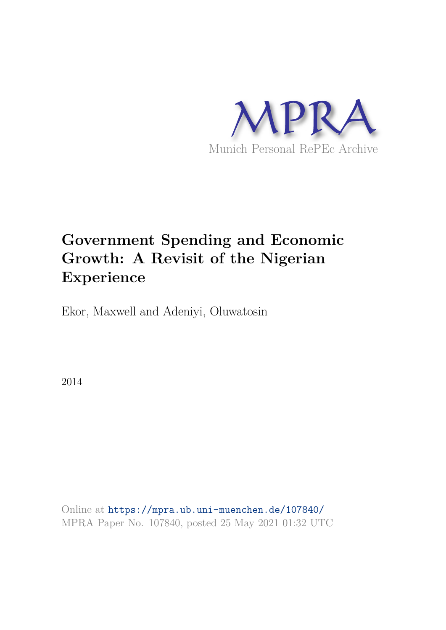

# **Government Spending and Economic Growth: A Revisit of the Nigerian Experience**

Ekor, Maxwell and Adeniyi, Oluwatosin

2014

Online at https://mpra.ub.uni-muenchen.de/107840/ MPRA Paper No. 107840, posted 25 May 2021 01:32 UTC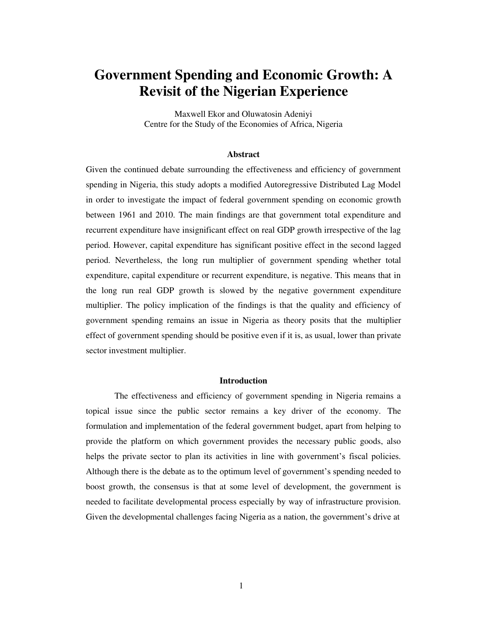## **Government Spending and Economic Growth: A Revisit of the Nigerian Experience**

Maxwell Ekor and Oluwatosin Adeniyi Centre for the Study of the Economies of Africa, Nigeria

#### **Abstract**

Given the continued debate surrounding the effectiveness and efficiency of government spending in Nigeria, this study adopts a modified Autoregressive Distributed Lag Model in order to investigate the impact of federal government spending on economic growth between 1961 and 2010. The main findings are that government total expenditure and recurrent expenditure have insignificant effect on real GDP growth irrespective of the lag period. However, capital expenditure has significant positive effect in the second lagged period. Nevertheless, the long run multiplier of government spending whether total expenditure, capital expenditure or recurrent expenditure, is negative. This means that in the long run real GDP growth is slowed by the negative government expenditure multiplier. The policy implication of the findings is that the quality and efficiency of government spending remains an issue in Nigeria as theory posits that the multiplier effect of government spending should be positive even if it is, as usual, lower than private sector investment multiplier.

#### **Introduction**

The effectiveness and efficiency of government spending in Nigeria remains a topical issue since the public sector remains a key driver of the economy. The formulation and implementation of the federal government budget, apart from helping to provide the platform on which government provides the necessary public goods, also helps the private sector to plan its activities in line with government's fiscal policies. Although there is the debate as to the optimum level of government's spending needed to boost growth, the consensus is that at some level of development, the government is needed to facilitate developmental process especially by way of infrastructure provision. Given the developmental challenges facing Nigeria as a nation, the government's drive at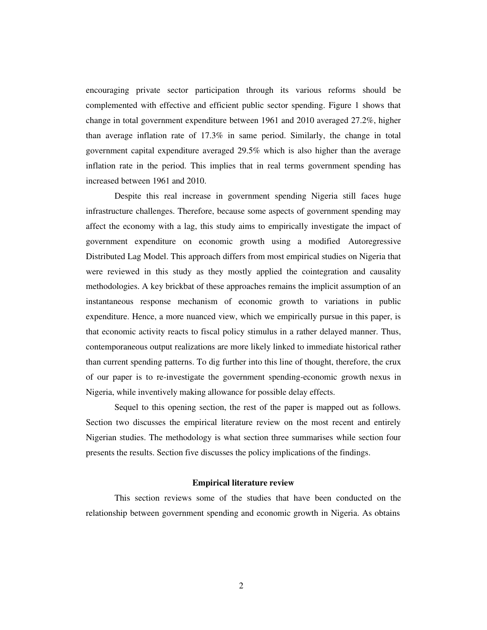encouraging private sector participation through its various reforms should be complemented with effective and efficient public sector spending. Figure 1 shows that change in total government expenditure between 1961 and 2010 averaged 27.2%, higher than average inflation rate of 17.3% in same period. Similarly, the change in total government capital expenditure averaged 29.5% which is also higher than the average inflation rate in the period. This implies that in real terms government spending has increased between 1961 and 2010.

Despite this real increase in government spending Nigeria still faces huge infrastructure challenges. Therefore, because some aspects of government spending may affect the economy with a lag, this study aims to empirically investigate the impact of government expenditure on economic growth using a modified Autoregressive Distributed Lag Model. This approach differs from most empirical studies on Nigeria that were reviewed in this study as they mostly applied the cointegration and causality methodologies. A key brickbat of these approaches remains the implicit assumption of an instantaneous response mechanism of economic growth to variations in public expenditure. Hence, a more nuanced view, which we empirically pursue in this paper, is that economic activity reacts to fiscal policy stimulus in a rather delayed manner. Thus, contemporaneous output realizations are more likely linked to immediate historical rather than current spending patterns. To dig further into this line of thought, therefore, the crux of our paper is to re-investigate the government spending-economic growth nexus in Nigeria, while inventively making allowance for possible delay effects.

Sequel to this opening section, the rest of the paper is mapped out as follows. Section two discusses the empirical literature review on the most recent and entirely Nigerian studies. The methodology is what section three summarises while section four presents the results. Section five discusses the policy implications of the findings.

#### **Empirical literature review**

This section reviews some of the studies that have been conducted on the relationship between government spending and economic growth in Nigeria. As obtains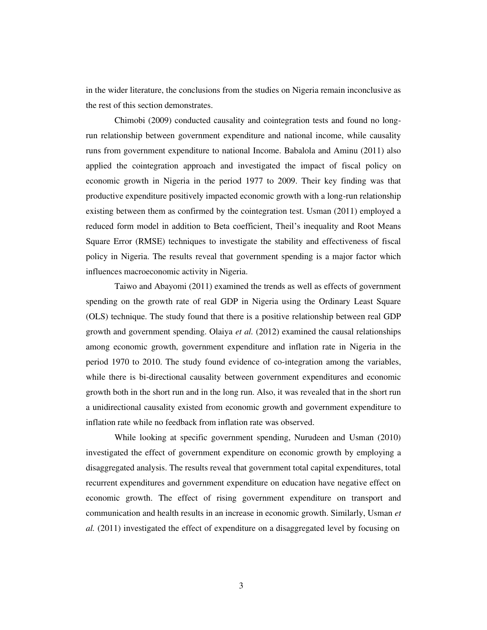in the wider literature, the conclusions from the studies on Nigeria remain inconclusive as the rest of this section demonstrates.

Chimobi (2009) conducted causality and cointegration tests and found no longrun relationship between government expenditure and national income, while causality runs from government expenditure to national Income. Babalola and Aminu (2011) also applied the cointegration approach and investigated the impact of fiscal policy on economic growth in Nigeria in the period 1977 to 2009. Their key finding was that productive expenditure positively impacted economic growth with a long-run relationship existing between them as confirmed by the cointegration test. Usman (2011) employed a reduced form model in addition to Beta coefficient, Theil's inequality and Root Means Square Error (RMSE) techniques to investigate the stability and effectiveness of fiscal policy in Nigeria. The results reveal that government spending is a major factor which influences macroeconomic activity in Nigeria.

Taiwo and Abayomi (2011) examined the trends as well as effects of government spending on the growth rate of real GDP in Nigeria using the Ordinary Least Square (OLS) technique. The study found that there is a positive relationship between real GDP growth and government spending. Olaiya *et al.* (2012) examined the causal relationships among economic growth, government expenditure and inflation rate in Nigeria in the period 1970 to 2010. The study found evidence of co-integration among the variables, while there is bi-directional causality between government expenditures and economic growth both in the short run and in the long run. Also, it was revealed that in the short run a unidirectional causality existed from economic growth and government expenditure to inflation rate while no feedback from inflation rate was observed.

While looking at specific government spending, Nurudeen and Usman (2010) investigated the effect of government expenditure on economic growth by employing a disaggregated analysis. The results reveal that government total capital expenditures, total recurrent expenditures and government expenditure on education have negative effect on economic growth. The effect of rising government expenditure on transport and communication and health results in an increase in economic growth. Similarly, Usman *et al.* (2011) investigated the effect of expenditure on a disaggregated level by focusing on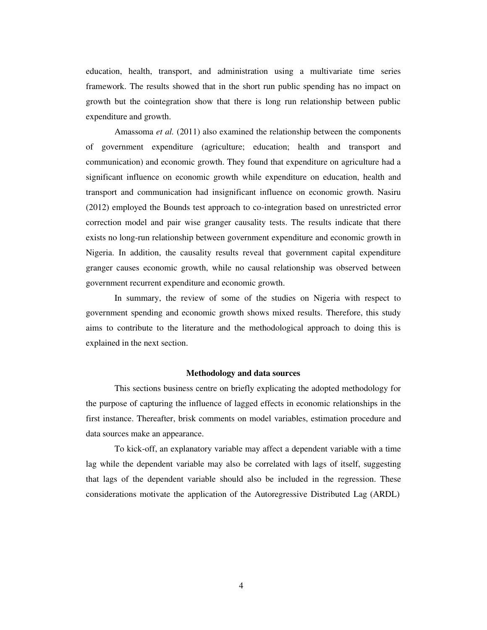education, health, transport, and administration using a multivariate time series framework. The results showed that in the short run public spending has no impact on growth but the cointegration show that there is long run relationship between public expenditure and growth.

Amassoma *et al.* (2011) also examined the relationship between the components of government expenditure (agriculture; education; health and transport and communication) and economic growth. They found that expenditure on agriculture had a significant influence on economic growth while expenditure on education, health and transport and communication had insignificant influence on economic growth. Nasiru (2012) employed the Bounds test approach to co-integration based on unrestricted error correction model and pair wise granger causality tests. The results indicate that there exists no long-run relationship between government expenditure and economic growth in Nigeria. In addition, the causality results reveal that government capital expenditure granger causes economic growth, while no causal relationship was observed between government recurrent expenditure and economic growth.

In summary, the review of some of the studies on Nigeria with respect to government spending and economic growth shows mixed results. Therefore, this study aims to contribute to the literature and the methodological approach to doing this is explained in the next section.

#### **Methodology and data sources**

This sections business centre on briefly explicating the adopted methodology for the purpose of capturing the influence of lagged effects in economic relationships in the first instance. Thereafter, brisk comments on model variables, estimation procedure and data sources make an appearance.

To kick-off, an explanatory variable may affect a dependent variable with a time lag while the dependent variable may also be correlated with lags of itself, suggesting that lags of the dependent variable should also be included in the regression. These considerations motivate the application of the Autoregressive Distributed Lag (ARDL)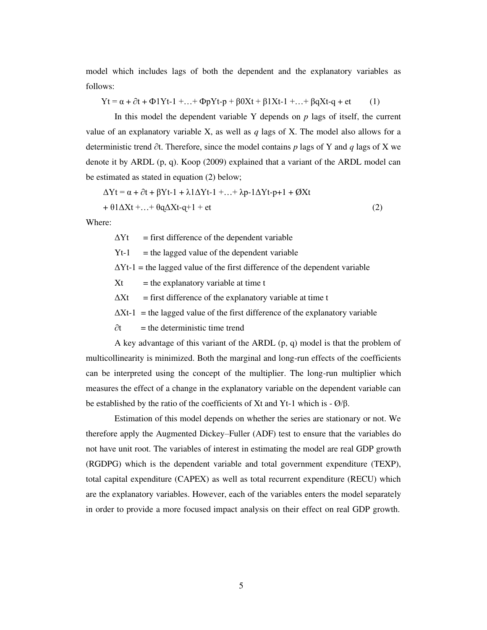model which includes lags of both the dependent and the explanatory variables as follows:

 $Yt = \alpha + \partial t + \Phi Yt - 1 + ... + \Phi pYt - p + \beta 0Xt + \beta 1Xt - 1 + ... + \beta qXt - q + et$  (1)

In this model the dependent variable Y depends on  $p$  lags of itself, the current value of an explanatory variable X, as well as *q* lags of X. The model also allows for a deterministic trend ∂t. Therefore, since the model contains *p* lags of Y and *q* lags of X we denote it by ARDL (p, q). Koop (2009) explained that a variant of the ARDL model can be estimated as stated in equation (2) below;

$$
\Delta Yt = \alpha + \partial t + \beta Yt - 1 + \lambda 1\Delta Yt - 1 + \ldots + \lambda p - 1\Delta Yt - p + 1 + \emptyset Xt
$$
  
+ 
$$
\theta 1\Delta Xt + \ldots + \theta q\Delta Xt - q + 1 + et
$$
 (2)

Where:

 $\Delta Yt$  = first difference of the dependent variable

 $Yt-1$  = the lagged value of the dependent variable

 $\Delta Yt-1$  = the lagged value of the first difference of the dependent variable

 $Xt =$  the explanatory variable at time t

 $\Delta Xt$  = first difference of the explanatory variable at time t

 $\Delta Xt-1$  = the lagged value of the first difference of the explanatory variable

 $\partial t$  = the deterministic time trend

A key advantage of this variant of the ARDL (p, q) model is that the problem of multicollinearity is minimized. Both the marginal and long-run effects of the coefficients can be interpreted using the concept of the multiplier. The long-run multiplier which measures the effect of a change in the explanatory variable on the dependent variable can be established by the ratio of the coefficients of Xt and Yt-1 which is - Ø/β.

Estimation of this model depends on whether the series are stationary or not. We therefore apply the Augmented Dickey–Fuller (ADF) test to ensure that the variables do not have unit root. The variables of interest in estimating the model are real GDP growth (RGDPG) which is the dependent variable and total government expenditure (TEXP), total capital expenditure (CAPEX) as well as total recurrent expenditure (RECU) which are the explanatory variables. However, each of the variables enters the model separately in order to provide a more focused impact analysis on their effect on real GDP growth.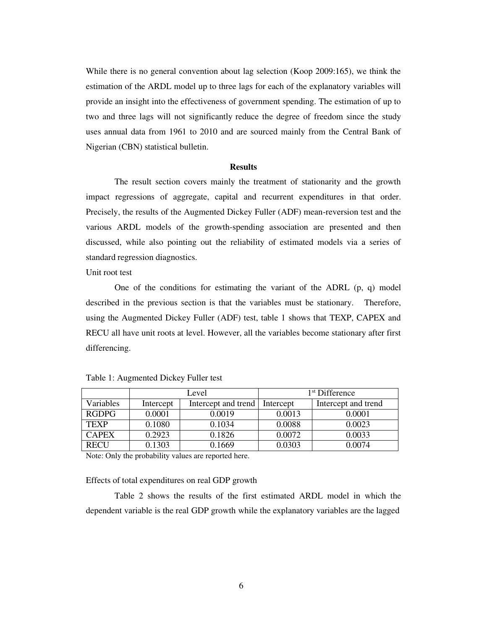While there is no general convention about lag selection (Koop 2009:165), we think the estimation of the ARDL model up to three lags for each of the explanatory variables will provide an insight into the effectiveness of government spending. The estimation of up to two and three lags will not significantly reduce the degree of freedom since the study uses annual data from 1961 to 2010 and are sourced mainly from the Central Bank of Nigerian (CBN) statistical bulletin.

#### **Results**

The result section covers mainly the treatment of stationarity and the growth impact regressions of aggregate, capital and recurrent expenditures in that order. Precisely, the results of the Augmented Dickey Fuller (ADF) mean-reversion test and the various ARDL models of the growth-spending association are presented and then discussed, while also pointing out the reliability of estimated models via a series of standard regression diagnostics.

Unit root test

One of the conditions for estimating the variant of the ADRL  $(p, q)$  model described in the previous section is that the variables must be stationary. Therefore, using the Augmented Dickey Fuller (ADF) test, table 1 shows that TEXP, CAPEX and RECU all have unit roots at level. However, all the variables become stationary after first differencing.

|              | Level     |                     | 1 <sup>st</sup> Difference |                     |
|--------------|-----------|---------------------|----------------------------|---------------------|
| Variables    | Intercept | Intercept and trend | Intercept                  | Intercept and trend |
| <b>RGDPG</b> | 0.0001    | 0.0019              | 0.0013                     | 0.0001              |
| <b>TEXP</b>  | 0.1080    | 0.1034              | 0.0088                     | 0.0023              |
| <b>CAPEX</b> | 0.2923    | 0.1826              | 0.0072                     | 0.0033              |
| RECI         | 0.1303    | 0.1669              | 0.0303                     | 0 0074              |

Table 1: Augmented Dickey Fuller test

Note: Only the probability values are reported here.

Effects of total expenditures on real GDP growth

Table 2 shows the results of the first estimated ARDL model in which the dependent variable is the real GDP growth while the explanatory variables are the lagged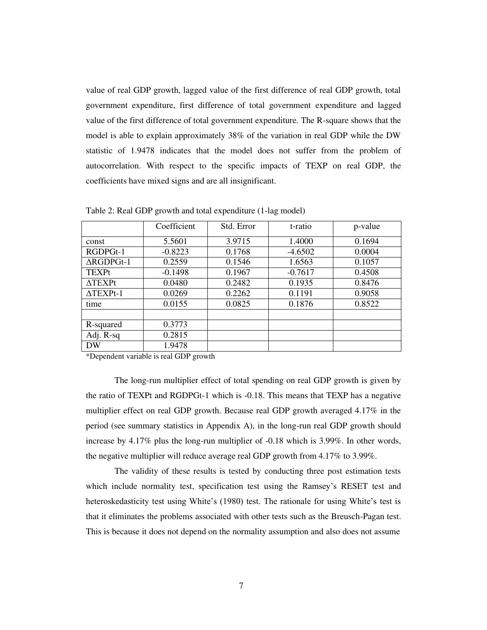value of real GDP growth, lagged value of the first difference of real GDP growth, total government expenditure, first difference of total government expenditure and lagged value of the first difference of total government expenditure. The R-square shows that the model is able to explain approximately 38% of the variation in real GDP while the DW statistic of 1.9478 indicates that the model does not suffer from the problem of autocorrelation. With respect to the specific impacts of TEXP on real GDP, the coefficients have mixed signs and are all insignificant.

|                       | Coefficient | Std. Error | t-ratio   | p-value |
|-----------------------|-------------|------------|-----------|---------|
| const                 | 5.5601      | 3.9715     | 1.4000    | 0.1694  |
| RGDPGt-1              | $-0.8223$   | 0.1768     | $-4.6502$ | 0.0004  |
| $\Delta$ RGDPGt-1     | 0.2559      | 0.1546     | 1.6563    | 0.1057  |
| <b>TEXPt</b>          | $-0.1498$   | 0.1967     | $-0.7617$ | 0.4508  |
| $\Delta \text{TEXPt}$ | 0.0480      | 0.2482     | 0.1935    | 0.8476  |
| $\triangle TEXPt-1$   | 0.0269      | 0.2262     | 0.1191    | 0.9058  |
| time                  | 0.0155      | 0.0825     | 0.1876    | 0.8522  |
|                       |             |            |           |         |
| R-squared             | 0.3773      |            |           |         |
| Adj. R-sq             | 0.2815      |            |           |         |
| DW                    | 1.9478      |            |           |         |

Table 2: Real GDP growth and total expenditure (1-lag model)

\*Dependent variable is real GDP growth

The long-run multiplier effect of total spending on real GDP growth is given by the ratio of TEXPt and RGDPGt-1 which is -0.18. This means that TEXP has a negative multiplier effect on real GDP growth. Because real GDP growth averaged 4.17% in the period (see summary statistics in Appendix A), in the long-run real GDP growth should increase by 4.17% plus the long-run multiplier of -0.18 which is 3.99%. In other words, the negative multiplier will reduce average real GDP growth from 4.17% to 3.99%.

The validity of these results is tested by conducting three post estimation tests which include normality test, specification test using the Ramsey's RESET test and heteroskedasticity test using White's (1980) test. The rationale for using White's test is that it eliminates the problems associated with other tests such as the Breusch-Pagan test. This is because it does not depend on the normality assumption and also does not assume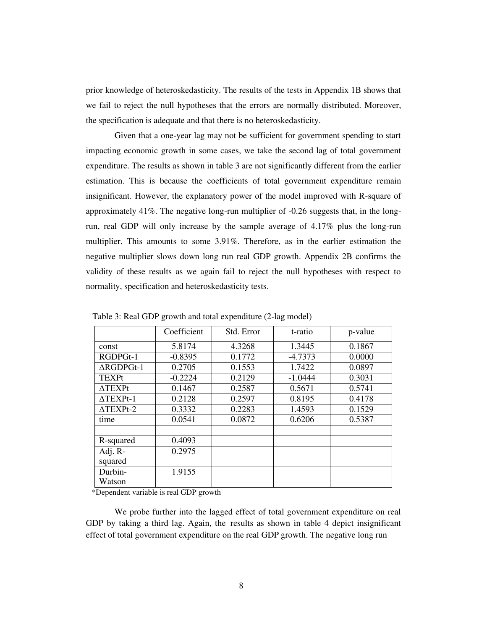prior knowledge of heteroskedasticity. The results of the tests in Appendix 1B shows that we fail to reject the null hypotheses that the errors are normally distributed. Moreover, the specification is adequate and that there is no heteroskedasticity.

Given that a one-year lag may not be sufficient for government spending to start impacting economic growth in some cases, we take the second lag of total government expenditure. The results as shown in table 3 are not significantly different from the earlier estimation. This is because the coefficients of total government expenditure remain insignificant. However, the explanatory power of the model improved with R-square of approximately 41%. The negative long-run multiplier of -0.26 suggests that, in the longrun, real GDP will only increase by the sample average of 4.17% plus the long-run multiplier. This amounts to some 3.91%. Therefore, as in the earlier estimation the negative multiplier slows down long run real GDP growth. Appendix 2B confirms the validity of these results as we again fail to reject the null hypotheses with respect to normality, specification and heteroskedasticity tests.

|                          | Coefficient | Std. Error | t-ratio   | p-value |
|--------------------------|-------------|------------|-----------|---------|
| const                    | 5.8174      | 4.3268     | 1.3445    | 0.1867  |
| RGDPGt-1                 | $-0.8395$   | 0.1772     | $-4.7373$ | 0.0000  |
| $\triangle$ RGDPGt-1     | 0.2705      | 0.1553     | 1.7422    | 0.0897  |
| <b>TEXPt</b>             | $-0.2224$   | 0.2129     | $-1.0444$ | 0.3031  |
| $\triangle \text{TEXPt}$ | 0.1467      | 0.2587     | 0.5671    | 0.5741  |
| $\triangle TEXPt-1$      | 0.2128      | 0.2597     | 0.8195    | 0.4178  |
| $\triangle$ TEXPt-2      | 0.3332      | 0.2283     | 1.4593    | 0.1529  |
| time                     | 0.0541      | 0.0872     | 0.6206    | 0.5387  |
|                          |             |            |           |         |
| R-squared                | 0.4093      |            |           |         |
| Adj. R-                  | 0.2975      |            |           |         |
| squared                  |             |            |           |         |
| Durbin-                  | 1.9155      |            |           |         |
| Watson                   |             |            |           |         |

Table 3: Real GDP growth and total expenditure (2-lag model)

\*Dependent variable is real GDP growth

We probe further into the lagged effect of total government expenditure on real GDP by taking a third lag. Again, the results as shown in table 4 depict insignificant effect of total government expenditure on the real GDP growth. The negative long run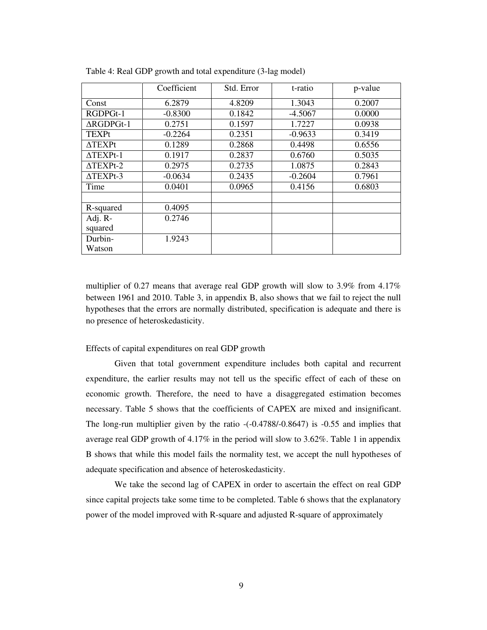|                      | Coefficient | Std. Error | t-ratio   | p-value |
|----------------------|-------------|------------|-----------|---------|
| Const                | 6.2879      | 4.8209     | 1.3043    | 0.2007  |
| RGDPGt-1             | $-0.8300$   | 0.1842     | $-4.5067$ | 0.0000  |
| $\triangle$ RGDPGt-1 | 0.2751      | 0.1597     | 1.7227    | 0.0938  |
| <b>TEXPt</b>         | $-0.2264$   | 0.2351     | $-0.9633$ | 0.3419  |
| $\Delta$ TEXPt       | 0.1289      | 0.2868     | 0.4498    | 0.6556  |
| $\triangle TEXPt-1$  | 0.1917      | 0.2837     | 0.6760    | 0.5035  |
| $\Delta TEXPt-2$     | 0.2975      | 0.2735     | 1.0875    | 0.2843  |
| $\triangle$ TEXPt-3  | $-0.0634$   | 0.2435     | $-0.2604$ | 0.7961  |
| Time                 | 0.0401      | 0.0965     | 0.4156    | 0.6803  |
|                      |             |            |           |         |
| R-squared            | 0.4095      |            |           |         |
| Adj. R-              | 0.2746      |            |           |         |
| squared              |             |            |           |         |
| Durbin-              | 1.9243      |            |           |         |
| Watson               |             |            |           |         |

Table 4: Real GDP growth and total expenditure (3-lag model)

multiplier of 0.27 means that average real GDP growth will slow to 3.9% from  $4.17\%$ between 1961 and 2010. Table 3, in appendix B, also shows that we fail to reject the null hypotheses that the errors are normally distributed, specification is adequate and there is no presence of heteroskedasticity.

#### Effects of capital expenditures on real GDP growth

Given that total government expenditure includes both capital and recurrent expenditure, the earlier results may not tell us the specific effect of each of these on economic growth. Therefore, the need to have a disaggregated estimation becomes necessary. Table 5 shows that the coefficients of CAPEX are mixed and insignificant. The long-run multiplier given by the ratio -(-0.4788/-0.8647) is -0.55 and implies that average real GDP growth of 4.17% in the period will slow to 3.62%. Table 1 in appendix B shows that while this model fails the normality test, we accept the null hypotheses of adequate specification and absence of heteroskedasticity.

We take the second lag of CAPEX in order to ascertain the effect on real GDP since capital projects take some time to be completed. Table 6 shows that the explanatory power of the model improved with R-square and adjusted R-square of approximately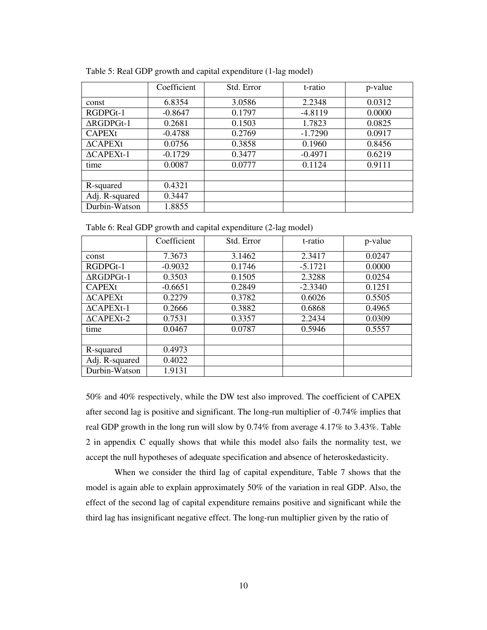|                      | Coefficient | Std. Error | t-ratio   | p-value |
|----------------------|-------------|------------|-----------|---------|
| const                | 6.8354      | 3.0586     | 2.2348    | 0.0312  |
| RGDPGt-1             | $-0.8647$   | 0.1797     | $-4.8119$ | 0.0000  |
| $\Delta$ RGDPGt-1    | 0.2681      | 0.1503     | 1.7823    | 0.0825  |
| <b>CAPEXt</b>        | $-0.4788$   | 0.2769     | $-1.7290$ | 0.0917  |
| $\triangle$ CAPEXt   | 0.0756      | 0.3858     | 0.1960    | 0.8456  |
| $\triangle$ CAPEXt-1 | $-0.1729$   | 0.3477     | $-0.4971$ | 0.6219  |
| time                 | 0.0087      | 0.0777     | 0.1124    | 0.9111  |
|                      |             |            |           |         |
| R-squared            | 0.4321      |            |           |         |
| Adj. R-squared       | 0.3447      |            |           |         |
| Durbin-Watson        | 1.8855      |            |           |         |

Table 5: Real GDP growth and capital expenditure (1-lag model)

Table 6: Real GDP growth and capital expenditure (2-lag model)

|                      | Coefficient | Std. Error<br>t-ratio |           | p-value |
|----------------------|-------------|-----------------------|-----------|---------|
| const                | 7.3673      | 3.1462                | 2.3417    | 0.0247  |
| RGDPGt-1             | $-0.9032$   | 0.1746                | $-5.1721$ | 0.0000  |
| $\Delta$ RGDPGt-1    | 0.3503      | 0.1505                | 2.3288    | 0.0254  |
| <b>CAPEXt</b>        | $-0.6651$   | 0.2849                | $-2.3340$ | 0.1251  |
| $\triangle$ CAPEXt   | 0.2279      | 0.3782                | 0.6026    | 0.5505  |
| $\triangle$ CAPEXt-1 | 0.2666      | 0.3882                | 0.6868    | 0.4965  |
| $\triangle CAPEXt-2$ | 0.7531      | 0.3357                | 2.2434    | 0.0309  |
| time                 | 0.0467      | 0.0787                | 0.5946    | 0.5557  |
|                      |             |                       |           |         |
| R-squared            | 0.4973      |                       |           |         |
| Adj. R-squared       | 0.4022      |                       |           |         |
| Durbin-Watson        | 1.9131      |                       |           |         |

50% and 40% respectively, while the DW test also improved. The coefficient of CAPEX after second lag is positive and significant. The long-run multiplier of -0.74% implies that real GDP growth in the long run will slow by 0.74% from average 4.17% to 3.43%. Table 2 in appendix C equally shows that while this model also fails the normality test, we accept the null hypotheses of adequate specification and absence of heteroskedasticity.

When we consider the third lag of capital expenditure, Table 7 shows that the model is again able to explain approximately 50% of the variation in real GDP. Also, the effect of the second lag of capital expenditure remains positive and significant while the third lag has insignificant negative effect. The long-run multiplier given by the ratio of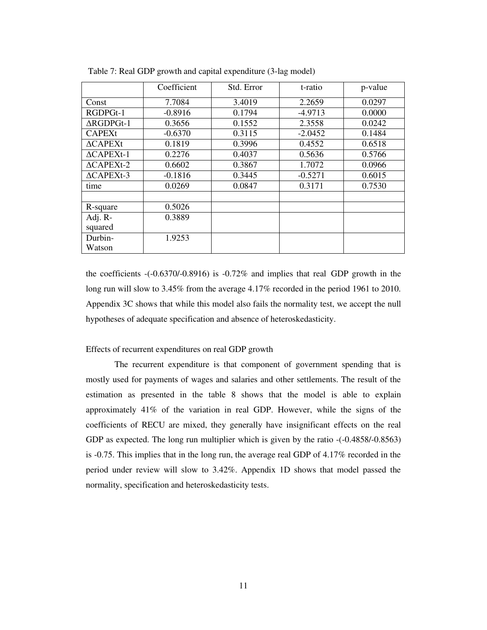|                      | Coefficient | Std. Error | t-ratio   | p-value |
|----------------------|-------------|------------|-----------|---------|
| Const                | 7.7084      | 3.4019     | 2.2659    | 0.0297  |
| RGDPGt-1             | $-0.8916$   | 0.1794     | $-4.9713$ | 0.0000  |
| $\triangle$ RGDPGt-1 | 0.3656      | 0.1552     | 2.3558    | 0.0242  |
| <b>CAPEXt</b>        | $-0.6370$   | 0.3115     | $-2.0452$ | 0.1484  |
| $\triangle$ CAPEXt   | 0.1819      | 0.3996     | 0.4552    | 0.6518  |
| $\triangle$ CAPEXt-1 | 0.2276      | 0.4037     | 0.5636    | 0.5766  |
| $\triangle CAPEXt-2$ | 0.6602      | 0.3867     | 1.7072    | 0.0966  |
| $\triangle$ CAPEXt-3 | $-0.1816$   | 0.3445     | $-0.5271$ | 0.6015  |
| time                 | 0.0269      | 0.0847     | 0.3171    | 0.7530  |
|                      |             |            |           |         |
| R-square             | 0.5026      |            |           |         |
| Adj. R-              | 0.3889      |            |           |         |
| squared              |             |            |           |         |
| Durbin-              | 1.9253      |            |           |         |
| Watson               |             |            |           |         |

Table 7: Real GDP growth and capital expenditure (3-lag model)

the coefficients -(-0.6370/-0.8916) is -0.72% and implies that real GDP growth in the long run will slow to 3.45% from the average 4.17% recorded in the period 1961 to 2010. Appendix 3C shows that while this model also fails the normality test, we accept the null hypotheses of adequate specification and absence of heteroskedasticity.

#### Effects of recurrent expenditures on real GDP growth

The recurrent expenditure is that component of government spending that is mostly used for payments of wages and salaries and other settlements. The result of the estimation as presented in the table 8 shows that the model is able to explain approximately 41% of the variation in real GDP. However, while the signs of the coefficients of RECU are mixed, they generally have insignificant effects on the real GDP as expected. The long run multiplier which is given by the ratio -(-0.4858/-0.8563) is -0.75. This implies that in the long run, the average real GDP of 4.17% recorded in the period under review will slow to 3.42%. Appendix 1D shows that model passed the normality, specification and heteroskedasticity tests.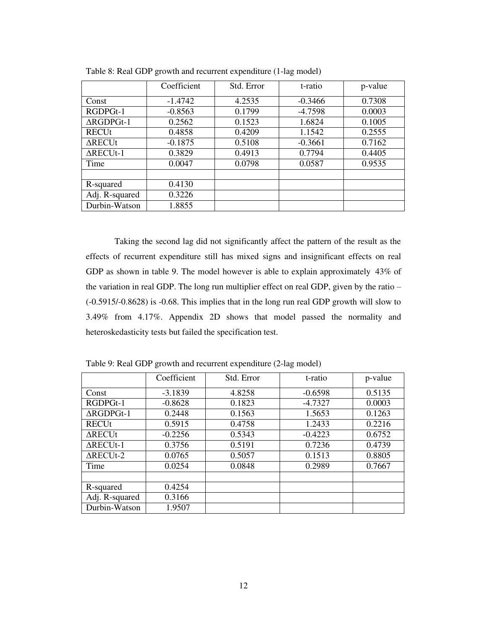|                   | Coefficient | Std. Error | t-ratio   | p-value |
|-------------------|-------------|------------|-----------|---------|
| Const             | $-1.4742$   | 4.2535     | $-0.3466$ | 0.7308  |
| RGDPGt-1          | $-0.8563$   | 0.1799     | $-4.7598$ | 0.0003  |
| $\Delta$ RGDPGt-1 | 0.2562      | 0.1523     | 1.6824    | 0.1005  |
| <b>RECUt</b>      | 0.4858      | 0.4209     | 1.1542    | 0.2555  |
| $\Delta$ RECUt    | $-0.1875$   | 0.5108     | $-0.3661$ | 0.7162  |
| $\Delta$ RECUt-1  | 0.3829      | 0.4913     | 0.7794    | 0.4405  |
| Time              | 0.0047      | 0.0798     | 0.0587    | 0.9535  |
|                   |             |            |           |         |
| R-squared         | 0.4130      |            |           |         |
| Adj. R-squared    | 0.3226      |            |           |         |
| Durbin-Watson     | 1.8855      |            |           |         |

Table 8: Real GDP growth and recurrent expenditure (1-lag model)

Taking the second lag did not significantly affect the pattern of the result as the effects of recurrent expenditure still has mixed signs and insignificant effects on real GDP as shown in table 9. The model however is able to explain approximately 43% of the variation in real GDP. The long run multiplier effect on real GDP, given by the ratio – (-0.5915/-0.8628) is -0.68. This implies that in the long run real GDP growth will slow to 3.49% from 4.17%. Appendix 2D shows that model passed the normality and heteroskedasticity tests but failed the specification test.

|                   | Coefficient | Std. Error | t-ratio   | p-value |
|-------------------|-------------|------------|-----------|---------|
| Const             | $-3.1839$   | 4.8258     | $-0.6598$ | 0.5135  |
| RGDPGt-1          | $-0.8628$   | 0.1823     | $-4.7327$ | 0.0003  |
| $\Delta$ RGDPGt-1 | 0.2448      | 0.1563     | 1.5653    | 0.1263  |
| <b>RECUt</b>      | 0.5915      | 0.4758     | 1.2433    | 0.2216  |
| $\Delta$ RECUt    | $-0.2256$   | 0.5343     | $-0.4223$ | 0.6752  |
| $\Delta$ RECUt-1  | 0.3756      | 0.5191     | 0.7236    | 0.4739  |
| $\Delta$ RECUt-2  | 0.0765      | 0.5057     | 0.1513    | 0.8805  |
| Time              | 0.0254      | 0.0848     | 0.2989    | 0.7667  |
|                   |             |            |           |         |
| R-squared         | 0.4254      |            |           |         |
| Adj. R-squared    | 0.3166      |            |           |         |
| Durbin-Watson     | 1.9507      |            |           |         |

Table 9: Real GDP growth and recurrent expenditure (2-lag model)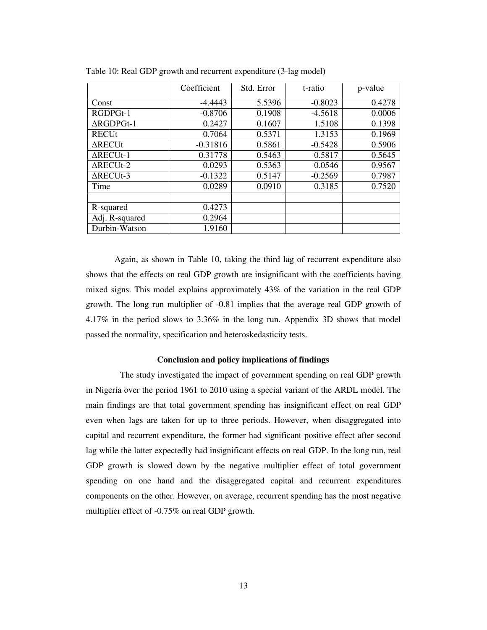|                      | Coefficient | Std. Error | t-ratio   | p-value |
|----------------------|-------------|------------|-----------|---------|
| Const                | $-4.4443$   | 5.5396     | $-0.8023$ | 0.4278  |
| RGDPGt-1             | $-0.8706$   | 0.1908     | $-4.5618$ | 0.0006  |
| $\triangle$ RGDPGt-1 | 0.2427      | 0.1607     | 1.5108    | 0.1398  |
| <b>RECUt</b>         | 0.7064      | 0.5371     | 1.3153    | 0.1969  |
| <b>ARECUt</b>        | $-0.31816$  | 0.5861     | $-0.5428$ | 0.5906  |
| $\Delta$ RECUt-1     | 0.31778     | 0.5463     | 0.5817    | 0.5645  |
| $\Delta$ RECUt-2     | 0.0293      | 0.5363     | 0.0546    | 0.9567  |
| $\triangle$ RECUt-3  | $-0.1322$   | 0.5147     | $-0.2569$ | 0.7987  |
| Time                 | 0.0289      | 0.0910     | 0.3185    | 0.7520  |
|                      |             |            |           |         |
| R-squared            | 0.4273      |            |           |         |
| Adj. R-squared       | 0.2964      |            |           |         |
| Durbin-Watson        | 1.9160      |            |           |         |

Table 10: Real GDP growth and recurrent expenditure (3-lag model)

Again, as shown in Table 10, taking the third lag of recurrent expenditure also shows that the effects on real GDP growth are insignificant with the coefficients having mixed signs. This model explains approximately 43% of the variation in the real GDP growth. The long run multiplier of -0.81 implies that the average real GDP growth of 4.17% in the period slows to 3.36% in the long run. Appendix 3D shows that model passed the normality, specification and heteroskedasticity tests.

#### **Conclusion and policy implications of findings**

The study investigated the impact of government spending on real GDP growth in Nigeria over the period 1961 to 2010 using a special variant of the ARDL model. The main findings are that total government spending has insignificant effect on real GDP even when lags are taken for up to three periods. However, when disaggregated into capital and recurrent expenditure, the former had significant positive effect after second lag while the latter expectedly had insignificant effects on real GDP. In the long run, real GDP growth is slowed down by the negative multiplier effect of total government spending on one hand and the disaggregated capital and recurrent expenditures components on the other. However, on average, recurrent spending has the most negative multiplier effect of -0.75% on real GDP growth.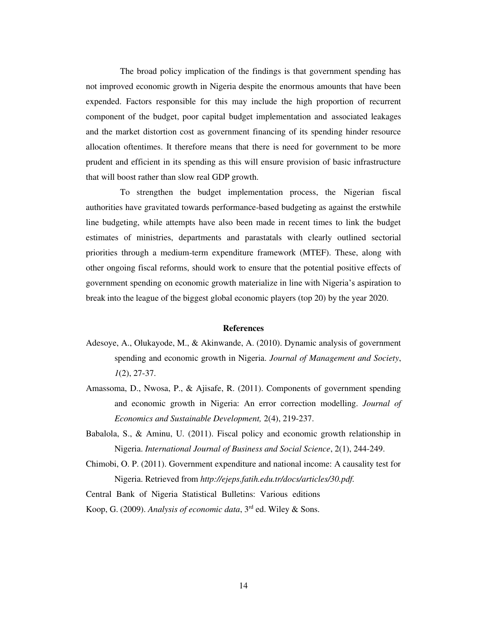The broad policy implication of the findings is that government spending has not improved economic growth in Nigeria despite the enormous amounts that have been expended. Factors responsible for this may include the high proportion of recurrent component of the budget, poor capital budget implementation and associated leakages and the market distortion cost as government financing of its spending hinder resource allocation oftentimes. It therefore means that there is need for government to be more prudent and efficient in its spending as this will ensure provision of basic infrastructure that will boost rather than slow real GDP growth.

To strengthen the budget implementation process, the Nigerian fiscal authorities have gravitated towards performance-based budgeting as against the erstwhile line budgeting, while attempts have also been made in recent times to link the budget estimates of ministries, departments and parastatals with clearly outlined sectorial priorities through a medium-term expenditure framework (MTEF). These, along with other ongoing fiscal reforms, should work to ensure that the potential positive effects of government spending on economic growth materialize in line with Nigeria's aspiration to break into the league of the biggest global economic players (top 20) by the year 2020.

#### **References**

- Adesoye, A., Olukayode, M., & Akinwande, A. (2010). Dynamic analysis of government spending and economic growth in Nigeria. *Journal of Management and Society*, *1*(2), 27-37.
- Amassoma, D., Nwosa, P., & Ajisafe, R. (2011). Components of government spending and economic growth in Nigeria: An error correction modelling. *Journal of Economics and Sustainable Development,* 2(4), 219-237.
- Babalola, S., & Aminu, U. (2011). Fiscal policy and economic growth relationship in Nigeria. *International Journal of Business and Social Science*, 2(1), 244-249.
- Chimobi, O. P. (2011). Government expenditure and national income: A causality test for Nigeria. Retrieved from *[http://ejeps.fatih.edu.tr/docs/articles/30.pdf.](http://ejeps.fatih.edu.tr/docs/articles/30.pdf)*

Central Bank of Nigeria Statistical Bulletins: Various editions

Koop, G. (2009). *Analysis of economic data*, 3rd ed. Wiley & Sons.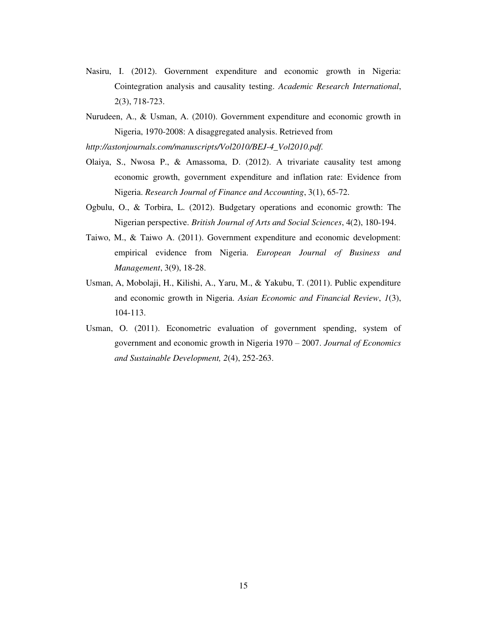- Nasiru, I. (2012). Government expenditure and economic growth in Nigeria: Cointegration analysis and causality testing. *Academic Research International*, 2(3), 718-723.
- Nurudeen, A., & Usman, A. (2010). Government expenditure and economic growth in Nigeria, 1970-2008: A disaggregated analysis. Retrieved from

*[http://astonjournals.com/manuscripts/Vol2010/BEJ-4\\_Vol2010.pdf.](http://astonjournals.com/manuscripts/Vol2010/BEJ-4_Vol2010.pdf)* 

- Olaiya, S., Nwosa P., & Amassoma, D. (2012). A trivariate causality test among economic growth, government expenditure and inflation rate: Evidence from Nigeria. *Research Journal of Finance and Accounting*, 3(1), 65-72.
- Ogbulu, O., & Torbira, L. (2012). Budgetary operations and economic growth: The Nigerian perspective. *British Journal of Arts and Social Sciences*, 4(2), 180-194.
- Taiwo, M., & Taiwo A. (2011). Government expenditure and economic development: empirical evidence from Nigeria. *European Journal of Business and Management*, 3(9), 18-28.
- Usman, A, Mobolaji, H., Kilishi, A., Yaru, M., & Yakubu, T. (2011). Public expenditure and economic growth in Nigeria. *Asian Economic and Financial Review*, *1*(3), 104-113.
- Usman, O. (2011). Econometric evaluation of government spending, system of government and economic growth in Nigeria 1970 – 2007. *Journal of Economics and Sustainable Development, 2*(4), 252-263.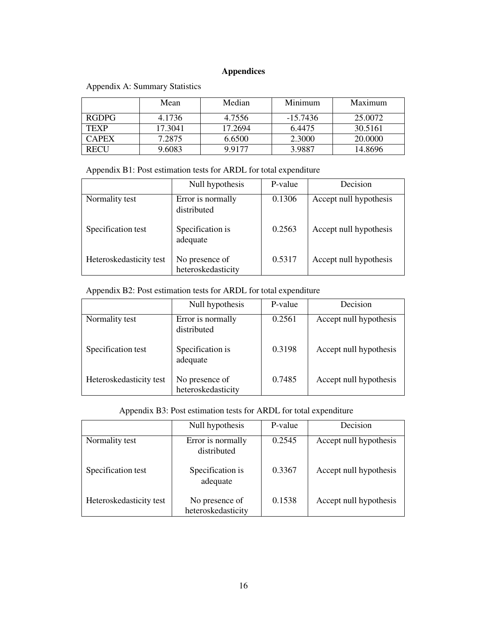## **Appendices**

|              | Mean    | Median  | Minimum    | Maximum |
|--------------|---------|---------|------------|---------|
| <b>RGDPG</b> | 4.1736  | 4.7556  | $-15.7436$ | 25,0072 |
| <b>TEXP</b>  | 17.3041 | 17.2694 | 6.4475     | 30.5161 |
| <b>CAPEX</b> | 7.2875  | 6.6500  | 2.3000     | 20.0000 |
| RECH         | 9.6083  | 9.9177  | 3.9887     | 14.8696 |

Appendix A: Summary Statistics

Appendix B1: Post estimation tests for ARDL for total expenditure

|                         | Null hypothesis                      | P-value | Decision               |
|-------------------------|--------------------------------------|---------|------------------------|
| Normality test          | Error is normally<br>distributed     | 0.1306  | Accept null hypothesis |
| Specification test      | Specification is<br>adequate         | 0.2563  | Accept null hypothesis |
| Heteroskedasticity test | No presence of<br>heteroskedasticity | 0.5317  | Accept null hypothesis |

## Appendix B2: Post estimation tests for ARDL for total expenditure

|                         | Null hypothesis                      | P-value | Decision               |
|-------------------------|--------------------------------------|---------|------------------------|
| Normality test          | Error is normally<br>distributed     | 0.2561  | Accept null hypothesis |
| Specification test      | Specification is<br>adequate         | 0.3198  | Accept null hypothesis |
| Heteroskedasticity test | No presence of<br>heteroskedasticity | 0.7485  | Accept null hypothesis |

## Appendix B3: Post estimation tests for ARDL for total expenditure

|                         | Null hypothesis                      | P-value | Decision               |
|-------------------------|--------------------------------------|---------|------------------------|
| Normality test          | Error is normally<br>distributed     | 0.2545  | Accept null hypothesis |
| Specification test      | Specification is<br>adequate         | 0.3367  | Accept null hypothesis |
| Heteroskedasticity test | No presence of<br>heteroskedasticity | 0.1538  | Accept null hypothesis |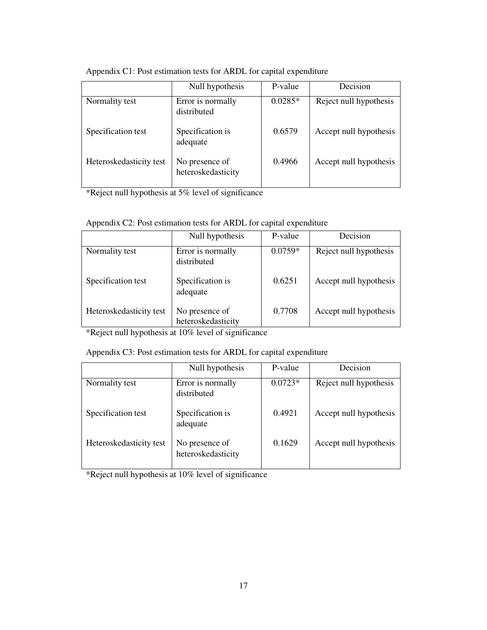|                         | Null hypothesis                      | P-value   | Decision               |
|-------------------------|--------------------------------------|-----------|------------------------|
| Normality test          | Error is normally<br>distributed     | $0.0285*$ | Reject null hypothesis |
| Specification test      | Specification is<br>adequate         | 0.6579    | Accept null hypothesis |
| Heteroskedasticity test | No presence of<br>heteroskedasticity | 0.4966    | Accept null hypothesis |

Appendix C1: Post estimation tests for ARDL for capital expenditure

\*Reject null hypothesis at 5% level of significance

| Appendix C2: Post estimation tests for ARDL for capital expenditure |  |
|---------------------------------------------------------------------|--|
|---------------------------------------------------------------------|--|

|                         | Null hypothesis                      | P-value   | Decision               |
|-------------------------|--------------------------------------|-----------|------------------------|
| Normality test          | Error is normally<br>distributed     | $0.0759*$ | Reject null hypothesis |
| Specification test      | Specification is<br>adequate         | 0.6251    | Accept null hypothesis |
| Heteroskedasticity test | No presence of<br>heteroskedasticity | 0.7708    | Accept null hypothesis |

\*Reject null hypothesis at 10% level of significance

## Appendix C3: Post estimation tests for ARDL for capital expenditure

|                         | Null hypothesis                      | P-value   | Decision               |
|-------------------------|--------------------------------------|-----------|------------------------|
| Normality test          | Error is normally<br>distributed     | $0.0723*$ | Reject null hypothesis |
| Specification test      | Specification is<br>adequate         | 0.4921    | Accept null hypothesis |
| Heteroskedasticity test | No presence of<br>heteroskedasticity | 0.1629    | Accept null hypothesis |

\*Reject null hypothesis at 10% level of significance